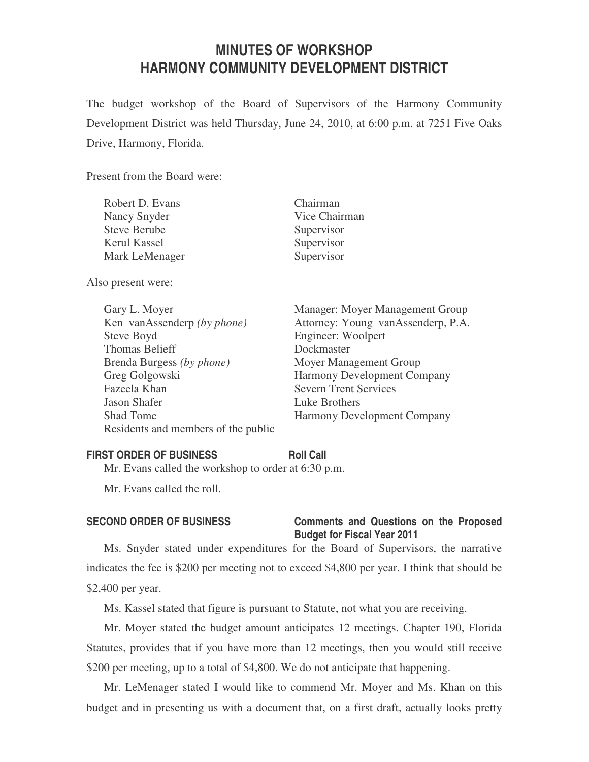# **MINUTES OF WORKSHOP HARMONY COMMUNITY DEVELOPMENT DISTRICT**

The budget workshop of the Board of Supervisors of the Harmony Community Development District was held Thursday, June 24, 2010, at 6:00 p.m. at 7251 Five Oaks Drive, Harmony, Florida.

Present from the Board were:

| Robert D. Evans     | Chairman      |
|---------------------|---------------|
| Nancy Snyder        | Vice Chairman |
| <b>Steve Berube</b> | Supervisor    |
| Kerul Kassel        | Supervisor    |
| Mark LeMenager      | Supervisor    |
|                     |               |

Also present were:

 Steve Boyd Engineer: Woolpert Thomas Belieff Dockmaster Brenda Burgess *(by phone)* Moyer Management Group Greg Golgowski Harmony Development Company Fazeela Khan Severn Trent Services Jason Shafer Luke Brothers Shad Tome Harmony Development Company Residents and members of the public

 Gary L. Moyer Manager: Moyer Management Group Ken vanAssenderp *(by phone)* Attorney: Young vanAssenderp, P.A.

### **FIRST ORDER OF BUSINESS Roll Call**

Mr. Evans called the workshop to order at 6:30 p.m.

Mr. Evans called the roll.

## **SECOND ORDER OF BUSINESS Comments and Questions on the Proposed Budget for Fiscal Year 2011**

Ms. Snyder stated under expenditures for the Board of Supervisors, the narrative indicates the fee is \$200 per meeting not to exceed \$4,800 per year. I think that should be \$2,400 per year.

Ms. Kassel stated that figure is pursuant to Statute, not what you are receiving.

Mr. Moyer stated the budget amount anticipates 12 meetings. Chapter 190, Florida Statutes, provides that if you have more than 12 meetings, then you would still receive \$200 per meeting, up to a total of \$4,800. We do not anticipate that happening.

Mr. LeMenager stated I would like to commend Mr. Moyer and Ms. Khan on this budget and in presenting us with a document that, on a first draft, actually looks pretty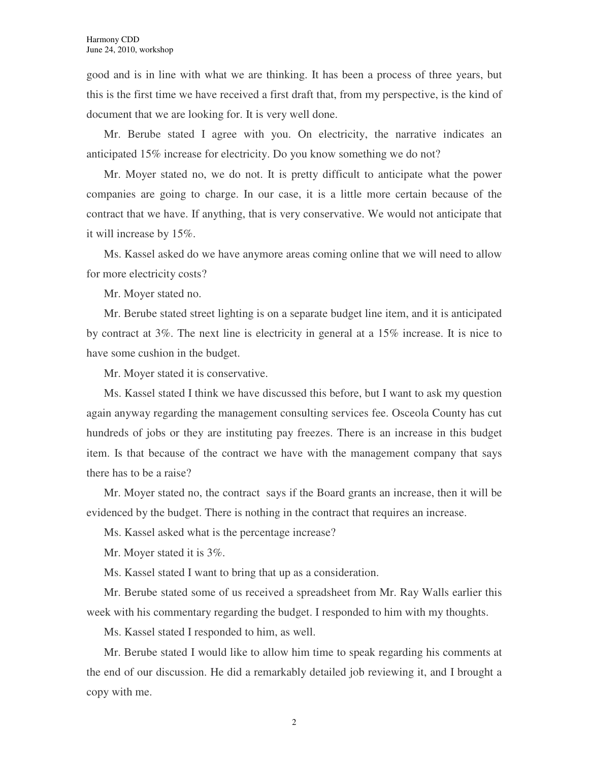good and is in line with what we are thinking. It has been a process of three years, but this is the first time we have received a first draft that, from my perspective, is the kind of document that we are looking for. It is very well done.

Mr. Berube stated I agree with you. On electricity, the narrative indicates an anticipated 15% increase for electricity. Do you know something we do not?

Mr. Moyer stated no, we do not. It is pretty difficult to anticipate what the power companies are going to charge. In our case, it is a little more certain because of the contract that we have. If anything, that is very conservative. We would not anticipate that it will increase by 15%.

Ms. Kassel asked do we have anymore areas coming online that we will need to allow for more electricity costs?

Mr. Moyer stated no.

Mr. Berube stated street lighting is on a separate budget line item, and it is anticipated by contract at 3%. The next line is electricity in general at a 15% increase. It is nice to have some cushion in the budget.

Mr. Moyer stated it is conservative.

Ms. Kassel stated I think we have discussed this before, but I want to ask my question again anyway regarding the management consulting services fee. Osceola County has cut hundreds of jobs or they are instituting pay freezes. There is an increase in this budget item. Is that because of the contract we have with the management company that says there has to be a raise?

Mr. Moyer stated no, the contract says if the Board grants an increase, then it will be evidenced by the budget. There is nothing in the contract that requires an increase.

Ms. Kassel asked what is the percentage increase?

Mr. Moyer stated it is  $3\%$ .

Ms. Kassel stated I want to bring that up as a consideration.

Mr. Berube stated some of us received a spreadsheet from Mr. Ray Walls earlier this week with his commentary regarding the budget. I responded to him with my thoughts.

Ms. Kassel stated I responded to him, as well.

Mr. Berube stated I would like to allow him time to speak regarding his comments at the end of our discussion. He did a remarkably detailed job reviewing it, and I brought a copy with me.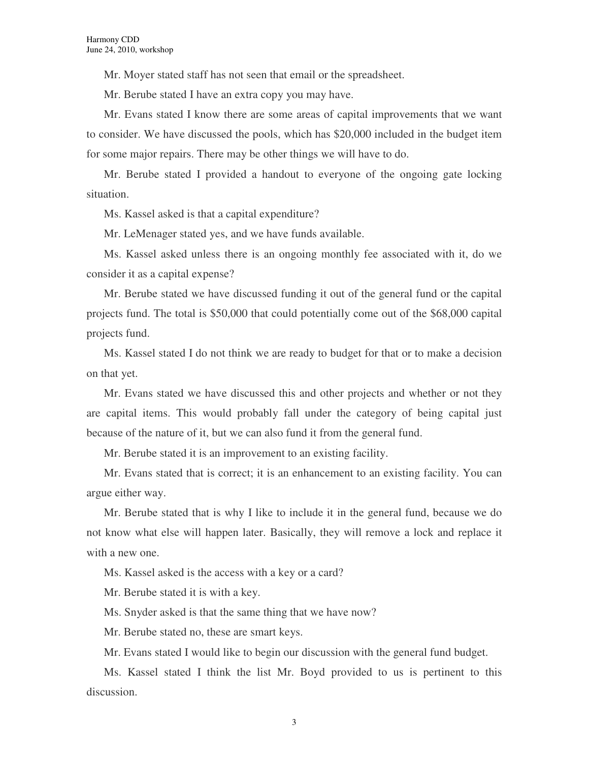Mr. Moyer stated staff has not seen that email or the spreadsheet.

Mr. Berube stated I have an extra copy you may have.

Mr. Evans stated I know there are some areas of capital improvements that we want to consider. We have discussed the pools, which has \$20,000 included in the budget item for some major repairs. There may be other things we will have to do.

Mr. Berube stated I provided a handout to everyone of the ongoing gate locking situation.

Ms. Kassel asked is that a capital expenditure?

Mr. LeMenager stated yes, and we have funds available.

Ms. Kassel asked unless there is an ongoing monthly fee associated with it, do we consider it as a capital expense?

Mr. Berube stated we have discussed funding it out of the general fund or the capital projects fund. The total is \$50,000 that could potentially come out of the \$68,000 capital projects fund.

Ms. Kassel stated I do not think we are ready to budget for that or to make a decision on that yet.

Mr. Evans stated we have discussed this and other projects and whether or not they are capital items. This would probably fall under the category of being capital just because of the nature of it, but we can also fund it from the general fund.

Mr. Berube stated it is an improvement to an existing facility.

Mr. Evans stated that is correct; it is an enhancement to an existing facility. You can argue either way.

Mr. Berube stated that is why I like to include it in the general fund, because we do not know what else will happen later. Basically, they will remove a lock and replace it with a new one.

Ms. Kassel asked is the access with a key or a card?

Mr. Berube stated it is with a key.

Ms. Snyder asked is that the same thing that we have now?

Mr. Berube stated no, these are smart keys.

Mr. Evans stated I would like to begin our discussion with the general fund budget.

Ms. Kassel stated I think the list Mr. Boyd provided to us is pertinent to this discussion.

3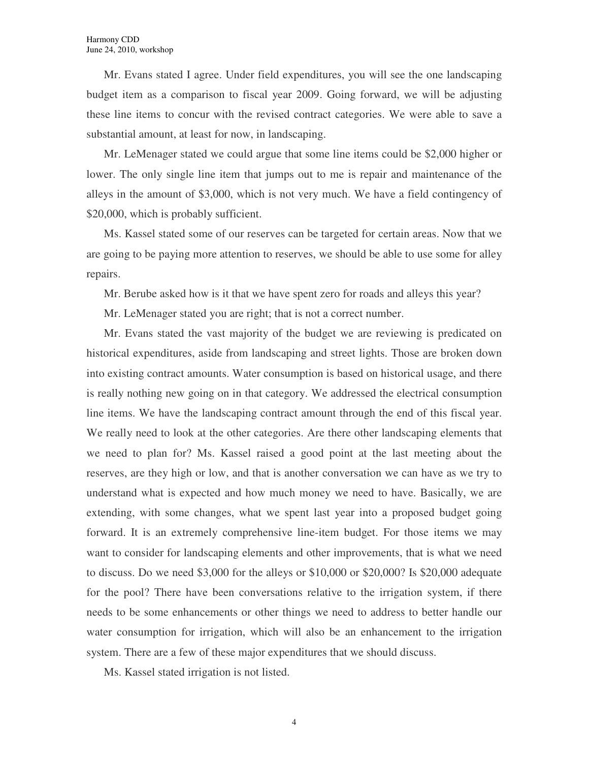Mr. Evans stated I agree. Under field expenditures, you will see the one landscaping budget item as a comparison to fiscal year 2009. Going forward, we will be adjusting these line items to concur with the revised contract categories. We were able to save a substantial amount, at least for now, in landscaping.

Mr. LeMenager stated we could argue that some line items could be \$2,000 higher or lower. The only single line item that jumps out to me is repair and maintenance of the alleys in the amount of \$3,000, which is not very much. We have a field contingency of \$20,000, which is probably sufficient.

Ms. Kassel stated some of our reserves can be targeted for certain areas. Now that we are going to be paying more attention to reserves, we should be able to use some for alley repairs.

Mr. Berube asked how is it that we have spent zero for roads and alleys this year?

Mr. LeMenager stated you are right; that is not a correct number.

Mr. Evans stated the vast majority of the budget we are reviewing is predicated on historical expenditures, aside from landscaping and street lights. Those are broken down into existing contract amounts. Water consumption is based on historical usage, and there is really nothing new going on in that category. We addressed the electrical consumption line items. We have the landscaping contract amount through the end of this fiscal year. We really need to look at the other categories. Are there other landscaping elements that we need to plan for? Ms. Kassel raised a good point at the last meeting about the reserves, are they high or low, and that is another conversation we can have as we try to understand what is expected and how much money we need to have. Basically, we are extending, with some changes, what we spent last year into a proposed budget going forward. It is an extremely comprehensive line-item budget. For those items we may want to consider for landscaping elements and other improvements, that is what we need to discuss. Do we need \$3,000 for the alleys or \$10,000 or \$20,000? Is \$20,000 adequate for the pool? There have been conversations relative to the irrigation system, if there needs to be some enhancements or other things we need to address to better handle our water consumption for irrigation, which will also be an enhancement to the irrigation system. There are a few of these major expenditures that we should discuss.

Ms. Kassel stated irrigation is not listed.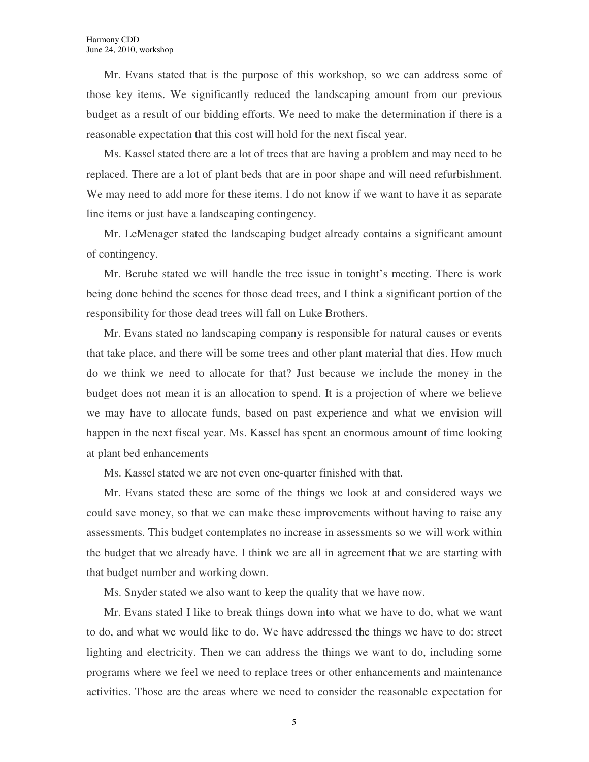Mr. Evans stated that is the purpose of this workshop, so we can address some of those key items. We significantly reduced the landscaping amount from our previous budget as a result of our bidding efforts. We need to make the determination if there is a reasonable expectation that this cost will hold for the next fiscal year.

Ms. Kassel stated there are a lot of trees that are having a problem and may need to be replaced. There are a lot of plant beds that are in poor shape and will need refurbishment. We may need to add more for these items. I do not know if we want to have it as separate line items or just have a landscaping contingency.

Mr. LeMenager stated the landscaping budget already contains a significant amount of contingency.

Mr. Berube stated we will handle the tree issue in tonight's meeting. There is work being done behind the scenes for those dead trees, and I think a significant portion of the responsibility for those dead trees will fall on Luke Brothers.

Mr. Evans stated no landscaping company is responsible for natural causes or events that take place, and there will be some trees and other plant material that dies. How much do we think we need to allocate for that? Just because we include the money in the budget does not mean it is an allocation to spend. It is a projection of where we believe we may have to allocate funds, based on past experience and what we envision will happen in the next fiscal year. Ms. Kassel has spent an enormous amount of time looking at plant bed enhancements

Ms. Kassel stated we are not even one-quarter finished with that.

Mr. Evans stated these are some of the things we look at and considered ways we could save money, so that we can make these improvements without having to raise any assessments. This budget contemplates no increase in assessments so we will work within the budget that we already have. I think we are all in agreement that we are starting with that budget number and working down.

Ms. Snyder stated we also want to keep the quality that we have now.

Mr. Evans stated I like to break things down into what we have to do, what we want to do, and what we would like to do. We have addressed the things we have to do: street lighting and electricity. Then we can address the things we want to do, including some programs where we feel we need to replace trees or other enhancements and maintenance activities. Those are the areas where we need to consider the reasonable expectation for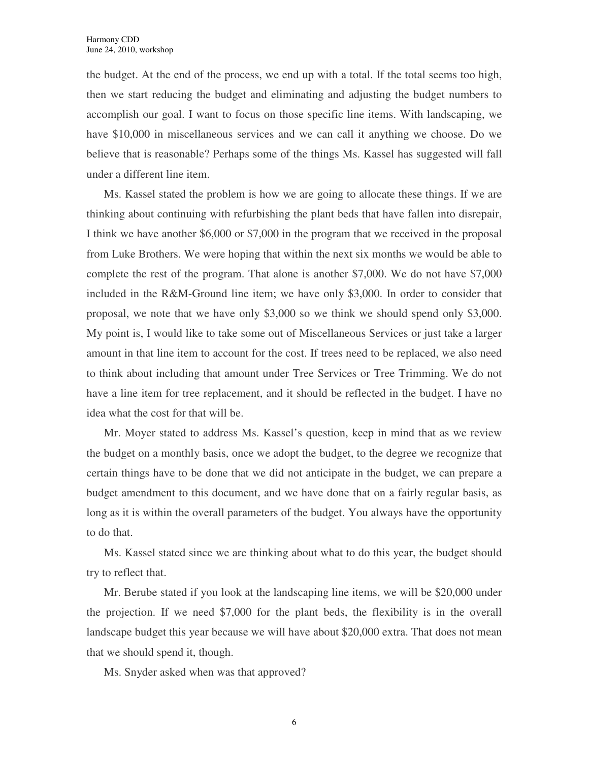the budget. At the end of the process, we end up with a total. If the total seems too high, then we start reducing the budget and eliminating and adjusting the budget numbers to accomplish our goal. I want to focus on those specific line items. With landscaping, we have \$10,000 in miscellaneous services and we can call it anything we choose. Do we believe that is reasonable? Perhaps some of the things Ms. Kassel has suggested will fall under a different line item.

Ms. Kassel stated the problem is how we are going to allocate these things. If we are thinking about continuing with refurbishing the plant beds that have fallen into disrepair, I think we have another \$6,000 or \$7,000 in the program that we received in the proposal from Luke Brothers. We were hoping that within the next six months we would be able to complete the rest of the program. That alone is another \$7,000. We do not have \$7,000 included in the R&M-Ground line item; we have only \$3,000. In order to consider that proposal, we note that we have only \$3,000 so we think we should spend only \$3,000. My point is, I would like to take some out of Miscellaneous Services or just take a larger amount in that line item to account for the cost. If trees need to be replaced, we also need to think about including that amount under Tree Services or Tree Trimming. We do not have a line item for tree replacement, and it should be reflected in the budget. I have no idea what the cost for that will be.

Mr. Moyer stated to address Ms. Kassel's question, keep in mind that as we review the budget on a monthly basis, once we adopt the budget, to the degree we recognize that certain things have to be done that we did not anticipate in the budget, we can prepare a budget amendment to this document, and we have done that on a fairly regular basis, as long as it is within the overall parameters of the budget. You always have the opportunity to do that.

Ms. Kassel stated since we are thinking about what to do this year, the budget should try to reflect that.

Mr. Berube stated if you look at the landscaping line items, we will be \$20,000 under the projection. If we need \$7,000 for the plant beds, the flexibility is in the overall landscape budget this year because we will have about \$20,000 extra. That does not mean that we should spend it, though.

Ms. Snyder asked when was that approved?

6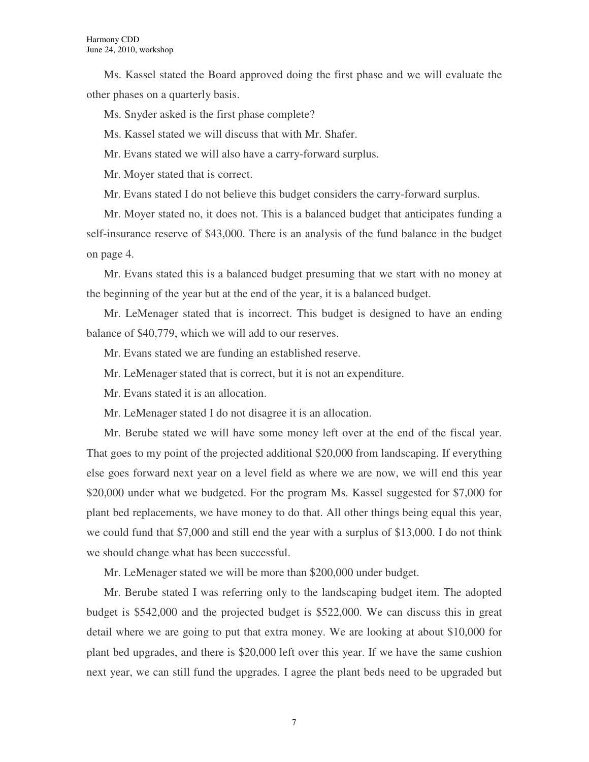Ms. Kassel stated the Board approved doing the first phase and we will evaluate the other phases on a quarterly basis.

Ms. Snyder asked is the first phase complete?

Ms. Kassel stated we will discuss that with Mr. Shafer.

Mr. Evans stated we will also have a carry-forward surplus.

Mr. Moyer stated that is correct.

Mr. Evans stated I do not believe this budget considers the carry-forward surplus.

Mr. Moyer stated no, it does not. This is a balanced budget that anticipates funding a self-insurance reserve of \$43,000. There is an analysis of the fund balance in the budget on page 4.

Mr. Evans stated this is a balanced budget presuming that we start with no money at the beginning of the year but at the end of the year, it is a balanced budget.

Mr. LeMenager stated that is incorrect. This budget is designed to have an ending balance of \$40,779, which we will add to our reserves.

Mr. Evans stated we are funding an established reserve.

Mr. LeMenager stated that is correct, but it is not an expenditure.

Mr. Evans stated it is an allocation.

Mr. LeMenager stated I do not disagree it is an allocation.

Mr. Berube stated we will have some money left over at the end of the fiscal year. That goes to my point of the projected additional \$20,000 from landscaping. If everything else goes forward next year on a level field as where we are now, we will end this year \$20,000 under what we budgeted. For the program Ms. Kassel suggested for \$7,000 for plant bed replacements, we have money to do that. All other things being equal this year, we could fund that \$7,000 and still end the year with a surplus of \$13,000. I do not think we should change what has been successful.

Mr. LeMenager stated we will be more than \$200,000 under budget.

Mr. Berube stated I was referring only to the landscaping budget item. The adopted budget is \$542,000 and the projected budget is \$522,000. We can discuss this in great detail where we are going to put that extra money. We are looking at about \$10,000 for plant bed upgrades, and there is \$20,000 left over this year. If we have the same cushion next year, we can still fund the upgrades. I agree the plant beds need to be upgraded but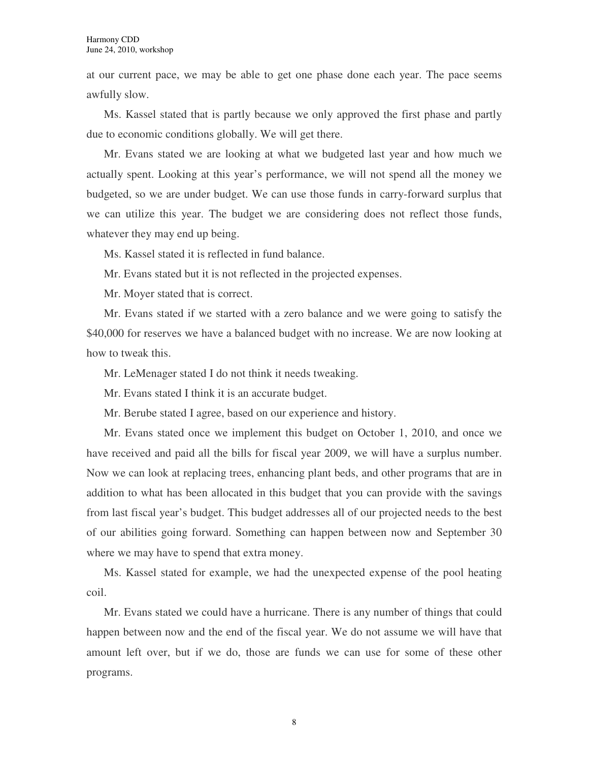at our current pace, we may be able to get one phase done each year. The pace seems awfully slow.

Ms. Kassel stated that is partly because we only approved the first phase and partly due to economic conditions globally. We will get there.

Mr. Evans stated we are looking at what we budgeted last year and how much we actually spent. Looking at this year's performance, we will not spend all the money we budgeted, so we are under budget. We can use those funds in carry-forward surplus that we can utilize this year. The budget we are considering does not reflect those funds, whatever they may end up being.

Ms. Kassel stated it is reflected in fund balance.

Mr. Evans stated but it is not reflected in the projected expenses.

Mr. Moyer stated that is correct.

Mr. Evans stated if we started with a zero balance and we were going to satisfy the \$40,000 for reserves we have a balanced budget with no increase. We are now looking at how to tweak this.

Mr. LeMenager stated I do not think it needs tweaking.

Mr. Evans stated I think it is an accurate budget.

Mr. Berube stated I agree, based on our experience and history.

Mr. Evans stated once we implement this budget on October 1, 2010, and once we have received and paid all the bills for fiscal year 2009, we will have a surplus number. Now we can look at replacing trees, enhancing plant beds, and other programs that are in addition to what has been allocated in this budget that you can provide with the savings from last fiscal year's budget. This budget addresses all of our projected needs to the best of our abilities going forward. Something can happen between now and September 30 where we may have to spend that extra money.

Ms. Kassel stated for example, we had the unexpected expense of the pool heating coil.

Mr. Evans stated we could have a hurricane. There is any number of things that could happen between now and the end of the fiscal year. We do not assume we will have that amount left over, but if we do, those are funds we can use for some of these other programs.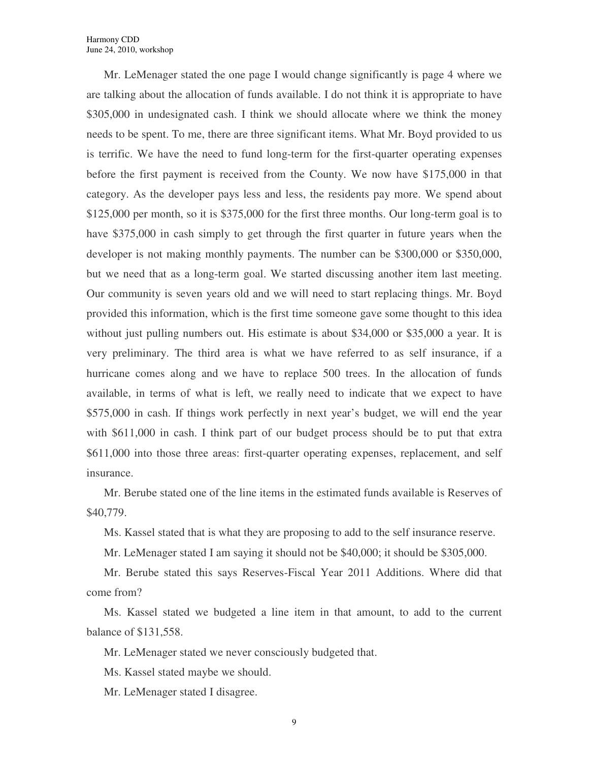Mr. LeMenager stated the one page I would change significantly is page 4 where we are talking about the allocation of funds available. I do not think it is appropriate to have \$305,000 in undesignated cash. I think we should allocate where we think the money needs to be spent. To me, there are three significant items. What Mr. Boyd provided to us is terrific. We have the need to fund long-term for the first-quarter operating expenses before the first payment is received from the County. We now have \$175,000 in that category. As the developer pays less and less, the residents pay more. We spend about \$125,000 per month, so it is \$375,000 for the first three months. Our long-term goal is to have \$375,000 in cash simply to get through the first quarter in future years when the developer is not making monthly payments. The number can be \$300,000 or \$350,000, but we need that as a long-term goal. We started discussing another item last meeting. Our community is seven years old and we will need to start replacing things. Mr. Boyd provided this information, which is the first time someone gave some thought to this idea without just pulling numbers out. His estimate is about \$34,000 or \$35,000 a year. It is very preliminary. The third area is what we have referred to as self insurance, if a hurricane comes along and we have to replace 500 trees. In the allocation of funds available, in terms of what is left, we really need to indicate that we expect to have \$575,000 in cash. If things work perfectly in next year's budget, we will end the year with \$611,000 in cash. I think part of our budget process should be to put that extra \$611,000 into those three areas: first-quarter operating expenses, replacement, and self insurance.

Mr. Berube stated one of the line items in the estimated funds available is Reserves of \$40,779.

Ms. Kassel stated that is what they are proposing to add to the self insurance reserve.

Mr. LeMenager stated I am saying it should not be \$40,000; it should be \$305,000.

Mr. Berube stated this says Reserves-Fiscal Year 2011 Additions. Where did that come from?

Ms. Kassel stated we budgeted a line item in that amount, to add to the current balance of \$131,558.

Mr. LeMenager stated we never consciously budgeted that.

Ms. Kassel stated maybe we should.

Mr. LeMenager stated I disagree.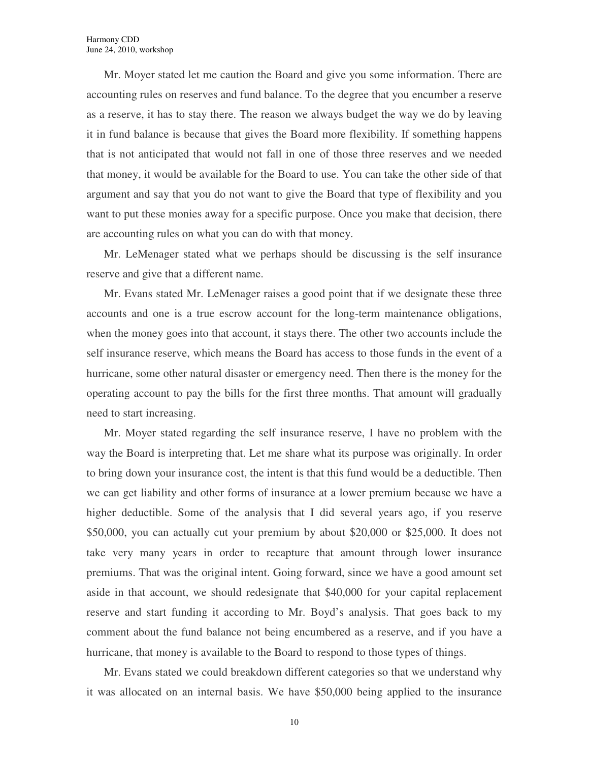Mr. Moyer stated let me caution the Board and give you some information. There are accounting rules on reserves and fund balance. To the degree that you encumber a reserve as a reserve, it has to stay there. The reason we always budget the way we do by leaving it in fund balance is because that gives the Board more flexibility. If something happens that is not anticipated that would not fall in one of those three reserves and we needed that money, it would be available for the Board to use. You can take the other side of that argument and say that you do not want to give the Board that type of flexibility and you want to put these monies away for a specific purpose. Once you make that decision, there are accounting rules on what you can do with that money.

Mr. LeMenager stated what we perhaps should be discussing is the self insurance reserve and give that a different name.

Mr. Evans stated Mr. LeMenager raises a good point that if we designate these three accounts and one is a true escrow account for the long-term maintenance obligations, when the money goes into that account, it stays there. The other two accounts include the self insurance reserve, which means the Board has access to those funds in the event of a hurricane, some other natural disaster or emergency need. Then there is the money for the operating account to pay the bills for the first three months. That amount will gradually need to start increasing.

Mr. Moyer stated regarding the self insurance reserve, I have no problem with the way the Board is interpreting that. Let me share what its purpose was originally. In order to bring down your insurance cost, the intent is that this fund would be a deductible. Then we can get liability and other forms of insurance at a lower premium because we have a higher deductible. Some of the analysis that I did several years ago, if you reserve \$50,000, you can actually cut your premium by about \$20,000 or \$25,000. It does not take very many years in order to recapture that amount through lower insurance premiums. That was the original intent. Going forward, since we have a good amount set aside in that account, we should redesignate that \$40,000 for your capital replacement reserve and start funding it according to Mr. Boyd's analysis. That goes back to my comment about the fund balance not being encumbered as a reserve, and if you have a hurricane, that money is available to the Board to respond to those types of things.

Mr. Evans stated we could breakdown different categories so that we understand why it was allocated on an internal basis. We have \$50,000 being applied to the insurance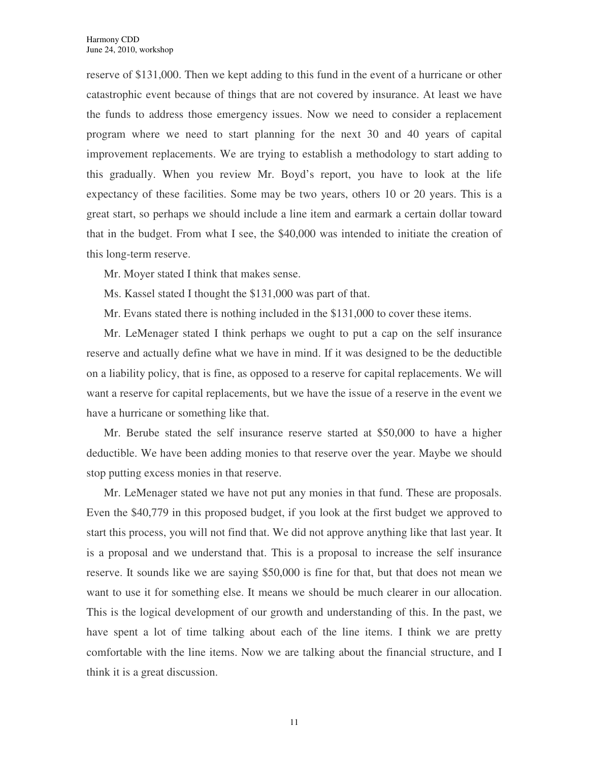reserve of \$131,000. Then we kept adding to this fund in the event of a hurricane or other catastrophic event because of things that are not covered by insurance. At least we have the funds to address those emergency issues. Now we need to consider a replacement program where we need to start planning for the next 30 and 40 years of capital improvement replacements. We are trying to establish a methodology to start adding to this gradually. When you review Mr. Boyd's report, you have to look at the life expectancy of these facilities. Some may be two years, others 10 or 20 years. This is a great start, so perhaps we should include a line item and earmark a certain dollar toward that in the budget. From what I see, the \$40,000 was intended to initiate the creation of this long-term reserve.

Mr. Moyer stated I think that makes sense.

Ms. Kassel stated I thought the \$131,000 was part of that.

Mr. Evans stated there is nothing included in the \$131,000 to cover these items.

Mr. LeMenager stated I think perhaps we ought to put a cap on the self insurance reserve and actually define what we have in mind. If it was designed to be the deductible on a liability policy, that is fine, as opposed to a reserve for capital replacements. We will want a reserve for capital replacements, but we have the issue of a reserve in the event we have a hurricane or something like that.

Mr. Berube stated the self insurance reserve started at \$50,000 to have a higher deductible. We have been adding monies to that reserve over the year. Maybe we should stop putting excess monies in that reserve.

Mr. LeMenager stated we have not put any monies in that fund. These are proposals. Even the \$40,779 in this proposed budget, if you look at the first budget we approved to start this process, you will not find that. We did not approve anything like that last year. It is a proposal and we understand that. This is a proposal to increase the self insurance reserve. It sounds like we are saying \$50,000 is fine for that, but that does not mean we want to use it for something else. It means we should be much clearer in our allocation. This is the logical development of our growth and understanding of this. In the past, we have spent a lot of time talking about each of the line items. I think we are pretty comfortable with the line items. Now we are talking about the financial structure, and I think it is a great discussion.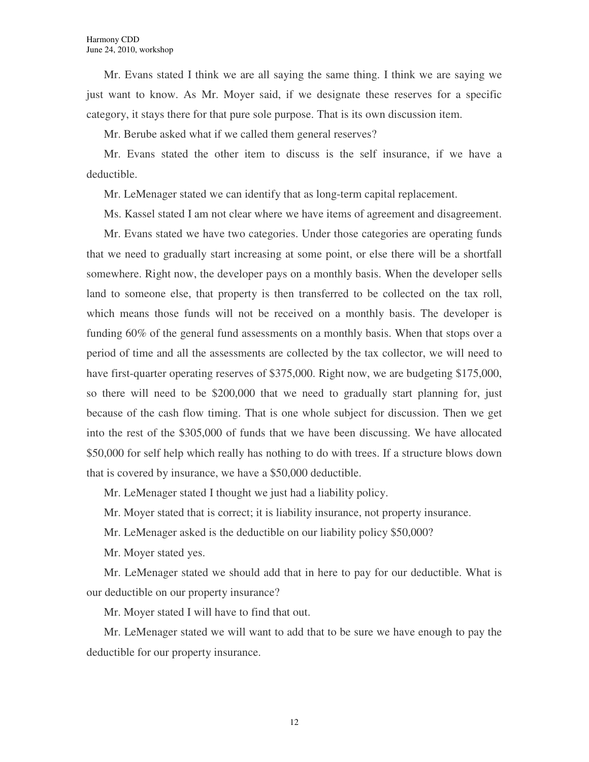Mr. Evans stated I think we are all saying the same thing. I think we are saying we just want to know. As Mr. Moyer said, if we designate these reserves for a specific category, it stays there for that pure sole purpose. That is its own discussion item.

Mr. Berube asked what if we called them general reserves?

Mr. Evans stated the other item to discuss is the self insurance, if we have a deductible.

Mr. LeMenager stated we can identify that as long-term capital replacement.

Ms. Kassel stated I am not clear where we have items of agreement and disagreement.

Mr. Evans stated we have two categories. Under those categories are operating funds that we need to gradually start increasing at some point, or else there will be a shortfall somewhere. Right now, the developer pays on a monthly basis. When the developer sells land to someone else, that property is then transferred to be collected on the tax roll, which means those funds will not be received on a monthly basis. The developer is funding 60% of the general fund assessments on a monthly basis. When that stops over a period of time and all the assessments are collected by the tax collector, we will need to have first-quarter operating reserves of \$375,000. Right now, we are budgeting \$175,000, so there will need to be \$200,000 that we need to gradually start planning for, just because of the cash flow timing. That is one whole subject for discussion. Then we get into the rest of the \$305,000 of funds that we have been discussing. We have allocated \$50,000 for self help which really has nothing to do with trees. If a structure blows down that is covered by insurance, we have a \$50,000 deductible.

Mr. LeMenager stated I thought we just had a liability policy.

Mr. Moyer stated that is correct; it is liability insurance, not property insurance.

Mr. LeMenager asked is the deductible on our liability policy \$50,000?

Mr. Moyer stated yes.

Mr. LeMenager stated we should add that in here to pay for our deductible. What is our deductible on our property insurance?

Mr. Moyer stated I will have to find that out.

Mr. LeMenager stated we will want to add that to be sure we have enough to pay the deductible for our property insurance.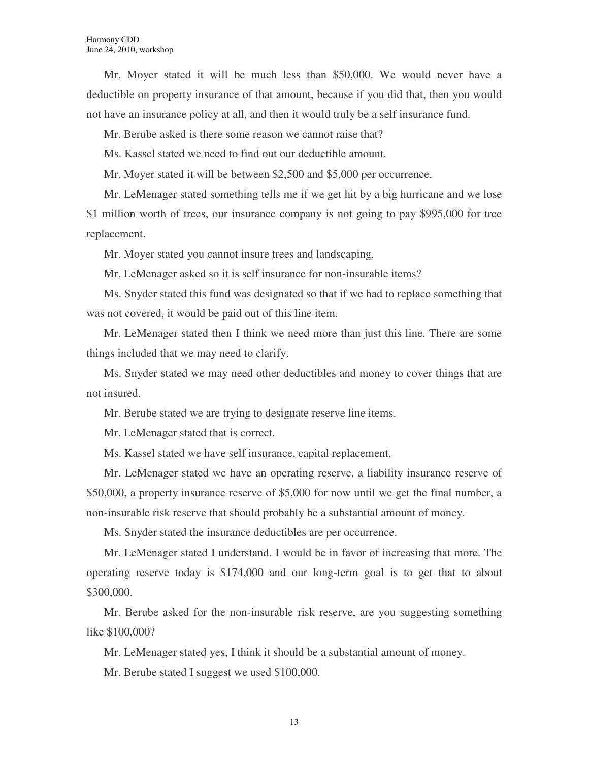Mr. Moyer stated it will be much less than \$50,000. We would never have a deductible on property insurance of that amount, because if you did that, then you would not have an insurance policy at all, and then it would truly be a self insurance fund.

Mr. Berube asked is there some reason we cannot raise that?

Ms. Kassel stated we need to find out our deductible amount.

Mr. Moyer stated it will be between \$2,500 and \$5,000 per occurrence.

Mr. LeMenager stated something tells me if we get hit by a big hurricane and we lose \$1 million worth of trees, our insurance company is not going to pay \$995,000 for tree replacement.

Mr. Moyer stated you cannot insure trees and landscaping.

Mr. LeMenager asked so it is self insurance for non-insurable items?

Ms. Snyder stated this fund was designated so that if we had to replace something that was not covered, it would be paid out of this line item.

Mr. LeMenager stated then I think we need more than just this line. There are some things included that we may need to clarify.

Ms. Snyder stated we may need other deductibles and money to cover things that are not insured.

Mr. Berube stated we are trying to designate reserve line items.

Mr. LeMenager stated that is correct.

Ms. Kassel stated we have self insurance, capital replacement.

Mr. LeMenager stated we have an operating reserve, a liability insurance reserve of \$50,000, a property insurance reserve of \$5,000 for now until we get the final number, a non-insurable risk reserve that should probably be a substantial amount of money.

Ms. Snyder stated the insurance deductibles are per occurrence.

Mr. LeMenager stated I understand. I would be in favor of increasing that more. The operating reserve today is \$174,000 and our long-term goal is to get that to about \$300,000.

Mr. Berube asked for the non-insurable risk reserve, are you suggesting something like \$100,000?

Mr. LeMenager stated yes, I think it should be a substantial amount of money.

Mr. Berube stated I suggest we used \$100,000.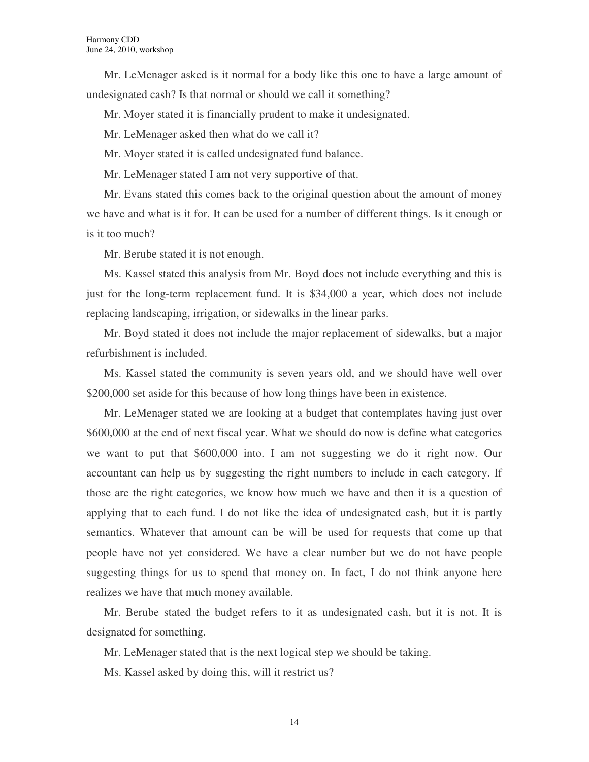Mr. LeMenager asked is it normal for a body like this one to have a large amount of undesignated cash? Is that normal or should we call it something?

Mr. Moyer stated it is financially prudent to make it undesignated.

Mr. LeMenager asked then what do we call it?

Mr. Moyer stated it is called undesignated fund balance.

Mr. LeMenager stated I am not very supportive of that.

Mr. Evans stated this comes back to the original question about the amount of money we have and what is it for. It can be used for a number of different things. Is it enough or is it too much?

Mr. Berube stated it is not enough.

Ms. Kassel stated this analysis from Mr. Boyd does not include everything and this is just for the long-term replacement fund. It is \$34,000 a year, which does not include replacing landscaping, irrigation, or sidewalks in the linear parks.

Mr. Boyd stated it does not include the major replacement of sidewalks, but a major refurbishment is included.

Ms. Kassel stated the community is seven years old, and we should have well over \$200,000 set aside for this because of how long things have been in existence.

Mr. LeMenager stated we are looking at a budget that contemplates having just over \$600,000 at the end of next fiscal year. What we should do now is define what categories we want to put that \$600,000 into. I am not suggesting we do it right now. Our accountant can help us by suggesting the right numbers to include in each category. If those are the right categories, we know how much we have and then it is a question of applying that to each fund. I do not like the idea of undesignated cash, but it is partly semantics. Whatever that amount can be will be used for requests that come up that people have not yet considered. We have a clear number but we do not have people suggesting things for us to spend that money on. In fact, I do not think anyone here realizes we have that much money available.

Mr. Berube stated the budget refers to it as undesignated cash, but it is not. It is designated for something.

Mr. LeMenager stated that is the next logical step we should be taking.

Ms. Kassel asked by doing this, will it restrict us?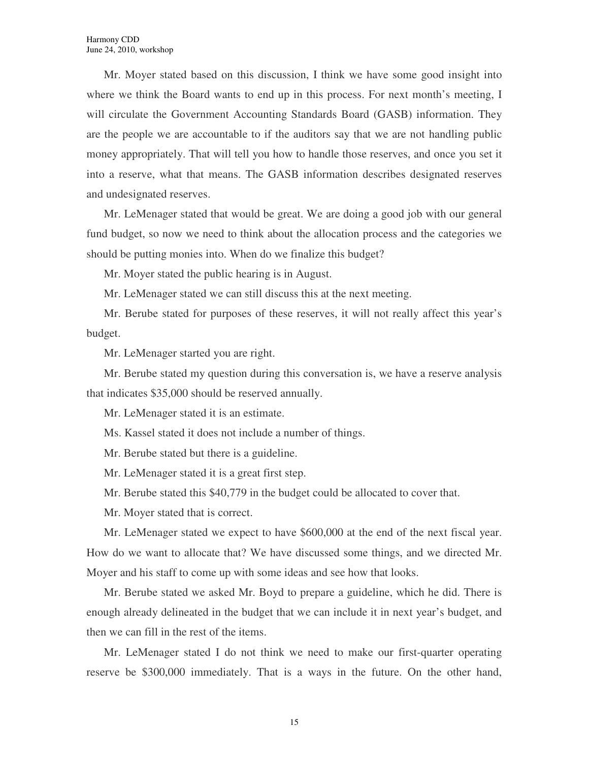Mr. Moyer stated based on this discussion, I think we have some good insight into where we think the Board wants to end up in this process. For next month's meeting, I will circulate the Government Accounting Standards Board (GASB) information. They are the people we are accountable to if the auditors say that we are not handling public money appropriately. That will tell you how to handle those reserves, and once you set it into a reserve, what that means. The GASB information describes designated reserves and undesignated reserves.

Mr. LeMenager stated that would be great. We are doing a good job with our general fund budget, so now we need to think about the allocation process and the categories we should be putting monies into. When do we finalize this budget?

Mr. Moyer stated the public hearing is in August.

Mr. LeMenager stated we can still discuss this at the next meeting.

Mr. Berube stated for purposes of these reserves, it will not really affect this year's budget.

Mr. LeMenager started you are right.

Mr. Berube stated my question during this conversation is, we have a reserve analysis that indicates \$35,000 should be reserved annually.

Mr. LeMenager stated it is an estimate.

Ms. Kassel stated it does not include a number of things.

Mr. Berube stated but there is a guideline.

Mr. LeMenager stated it is a great first step.

Mr. Berube stated this \$40,779 in the budget could be allocated to cover that.

Mr. Moyer stated that is correct.

Mr. LeMenager stated we expect to have \$600,000 at the end of the next fiscal year. How do we want to allocate that? We have discussed some things, and we directed Mr. Moyer and his staff to come up with some ideas and see how that looks.

Mr. Berube stated we asked Mr. Boyd to prepare a guideline, which he did. There is enough already delineated in the budget that we can include it in next year's budget, and then we can fill in the rest of the items.

Mr. LeMenager stated I do not think we need to make our first-quarter operating reserve be \$300,000 immediately. That is a ways in the future. On the other hand,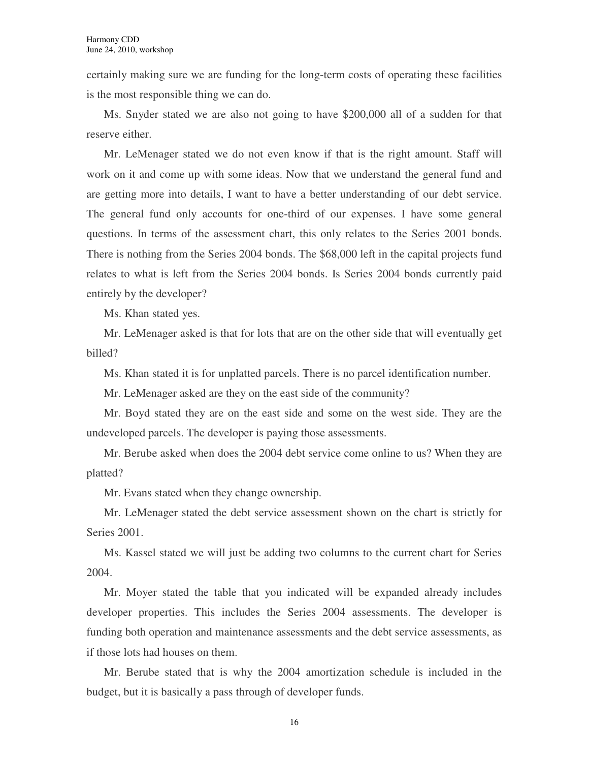certainly making sure we are funding for the long-term costs of operating these facilities is the most responsible thing we can do.

Ms. Snyder stated we are also not going to have \$200,000 all of a sudden for that reserve either.

Mr. LeMenager stated we do not even know if that is the right amount. Staff will work on it and come up with some ideas. Now that we understand the general fund and are getting more into details, I want to have a better understanding of our debt service. The general fund only accounts for one-third of our expenses. I have some general questions. In terms of the assessment chart, this only relates to the Series 2001 bonds. There is nothing from the Series 2004 bonds. The \$68,000 left in the capital projects fund relates to what is left from the Series 2004 bonds. Is Series 2004 bonds currently paid entirely by the developer?

Ms. Khan stated yes.

Mr. LeMenager asked is that for lots that are on the other side that will eventually get billed?

Ms. Khan stated it is for unplatted parcels. There is no parcel identification number.

Mr. LeMenager asked are they on the east side of the community?

Mr. Boyd stated they are on the east side and some on the west side. They are the undeveloped parcels. The developer is paying those assessments.

Mr. Berube asked when does the 2004 debt service come online to us? When they are platted?

Mr. Evans stated when they change ownership.

Mr. LeMenager stated the debt service assessment shown on the chart is strictly for Series 2001.

Ms. Kassel stated we will just be adding two columns to the current chart for Series 2004.

Mr. Moyer stated the table that you indicated will be expanded already includes developer properties. This includes the Series 2004 assessments. The developer is funding both operation and maintenance assessments and the debt service assessments, as if those lots had houses on them.

Mr. Berube stated that is why the 2004 amortization schedule is included in the budget, but it is basically a pass through of developer funds.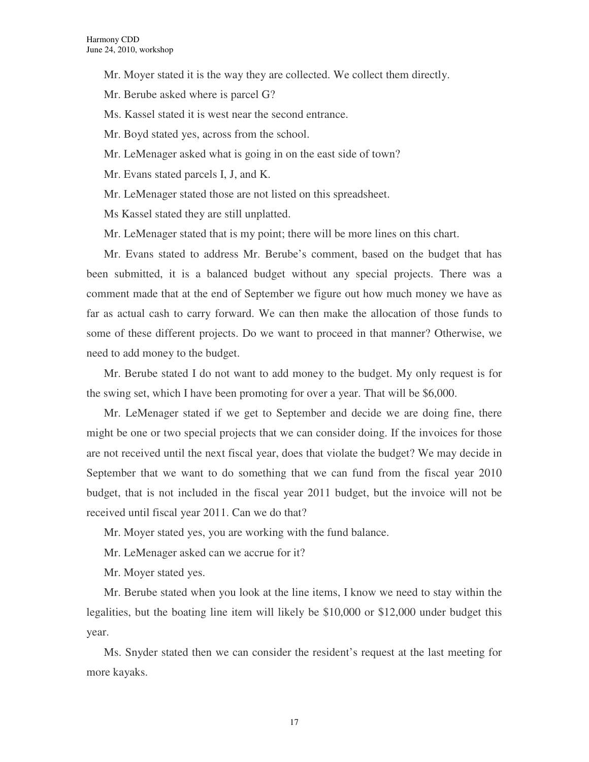- Mr. Moyer stated it is the way they are collected. We collect them directly.
- Mr. Berube asked where is parcel G?
- Ms. Kassel stated it is west near the second entrance.
- Mr. Boyd stated yes, across from the school.
- Mr. LeMenager asked what is going in on the east side of town?
- Mr. Evans stated parcels I, J, and K.
- Mr. LeMenager stated those are not listed on this spreadsheet.
- Ms Kassel stated they are still unplatted.
- Mr. LeMenager stated that is my point; there will be more lines on this chart.

Mr. Evans stated to address Mr. Berube's comment, based on the budget that has been submitted, it is a balanced budget without any special projects. There was a comment made that at the end of September we figure out how much money we have as far as actual cash to carry forward. We can then make the allocation of those funds to some of these different projects. Do we want to proceed in that manner? Otherwise, we need to add money to the budget.

Mr. Berube stated I do not want to add money to the budget. My only request is for the swing set, which I have been promoting for over a year. That will be \$6,000.

Mr. LeMenager stated if we get to September and decide we are doing fine, there might be one or two special projects that we can consider doing. If the invoices for those are not received until the next fiscal year, does that violate the budget? We may decide in September that we want to do something that we can fund from the fiscal year 2010 budget, that is not included in the fiscal year 2011 budget, but the invoice will not be received until fiscal year 2011. Can we do that?

Mr. Moyer stated yes, you are working with the fund balance.

Mr. LeMenager asked can we accrue for it?

Mr. Moyer stated yes.

Mr. Berube stated when you look at the line items, I know we need to stay within the legalities, but the boating line item will likely be \$10,000 or \$12,000 under budget this year.

Ms. Snyder stated then we can consider the resident's request at the last meeting for more kayaks.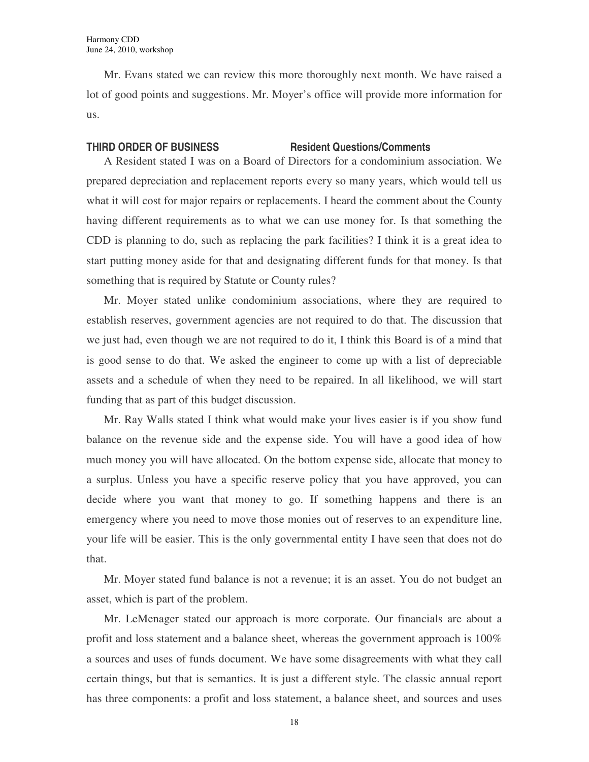Mr. Evans stated we can review this more thoroughly next month. We have raised a lot of good points and suggestions. Mr. Moyer's office will provide more information for us.

### **THIRD ORDER OF BUSINESS Resident Questions/Comments**

A Resident stated I was on a Board of Directors for a condominium association. We prepared depreciation and replacement reports every so many years, which would tell us what it will cost for major repairs or replacements. I heard the comment about the County having different requirements as to what we can use money for. Is that something the CDD is planning to do, such as replacing the park facilities? I think it is a great idea to start putting money aside for that and designating different funds for that money. Is that something that is required by Statute or County rules?

Mr. Moyer stated unlike condominium associations, where they are required to establish reserves, government agencies are not required to do that. The discussion that we just had, even though we are not required to do it, I think this Board is of a mind that is good sense to do that. We asked the engineer to come up with a list of depreciable assets and a schedule of when they need to be repaired. In all likelihood, we will start funding that as part of this budget discussion.

Mr. Ray Walls stated I think what would make your lives easier is if you show fund balance on the revenue side and the expense side. You will have a good idea of how much money you will have allocated. On the bottom expense side, allocate that money to a surplus. Unless you have a specific reserve policy that you have approved, you can decide where you want that money to go. If something happens and there is an emergency where you need to move those monies out of reserves to an expenditure line, your life will be easier. This is the only governmental entity I have seen that does not do that.

Mr. Moyer stated fund balance is not a revenue; it is an asset. You do not budget an asset, which is part of the problem.

Mr. LeMenager stated our approach is more corporate. Our financials are about a profit and loss statement and a balance sheet, whereas the government approach is 100% a sources and uses of funds document. We have some disagreements with what they call certain things, but that is semantics. It is just a different style. The classic annual report has three components: a profit and loss statement, a balance sheet, and sources and uses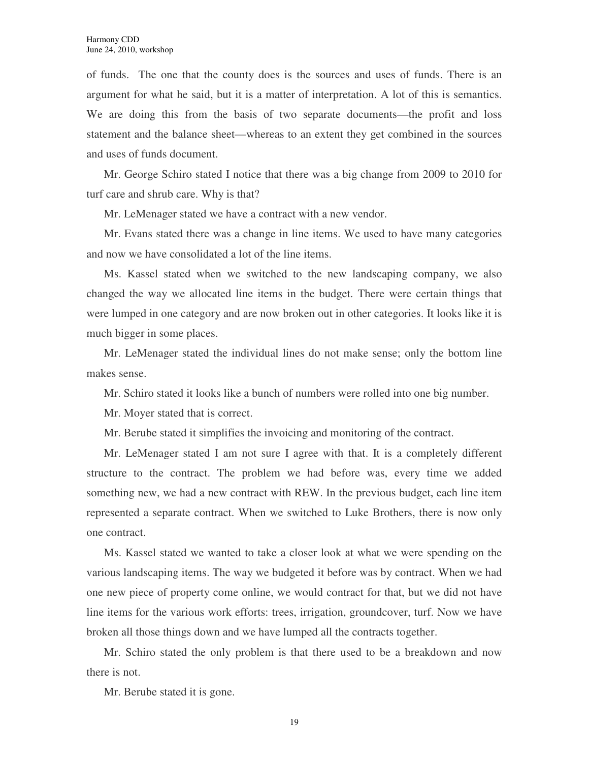of funds. The one that the county does is the sources and uses of funds. There is an argument for what he said, but it is a matter of interpretation. A lot of this is semantics. We are doing this from the basis of two separate documents—the profit and loss statement and the balance sheet—whereas to an extent they get combined in the sources and uses of funds document.

Mr. George Schiro stated I notice that there was a big change from 2009 to 2010 for turf care and shrub care. Why is that?

Mr. LeMenager stated we have a contract with a new vendor.

Mr. Evans stated there was a change in line items. We used to have many categories and now we have consolidated a lot of the line items.

Ms. Kassel stated when we switched to the new landscaping company, we also changed the way we allocated line items in the budget. There were certain things that were lumped in one category and are now broken out in other categories. It looks like it is much bigger in some places.

Mr. LeMenager stated the individual lines do not make sense; only the bottom line makes sense.

Mr. Schiro stated it looks like a bunch of numbers were rolled into one big number.

Mr. Moyer stated that is correct.

Mr. Berube stated it simplifies the invoicing and monitoring of the contract.

Mr. LeMenager stated I am not sure I agree with that. It is a completely different structure to the contract. The problem we had before was, every time we added something new, we had a new contract with REW. In the previous budget, each line item represented a separate contract. When we switched to Luke Brothers, there is now only one contract.

Ms. Kassel stated we wanted to take a closer look at what we were spending on the various landscaping items. The way we budgeted it before was by contract. When we had one new piece of property come online, we would contract for that, but we did not have line items for the various work efforts: trees, irrigation, groundcover, turf. Now we have broken all those things down and we have lumped all the contracts together.

Mr. Schiro stated the only problem is that there used to be a breakdown and now there is not.

Mr. Berube stated it is gone.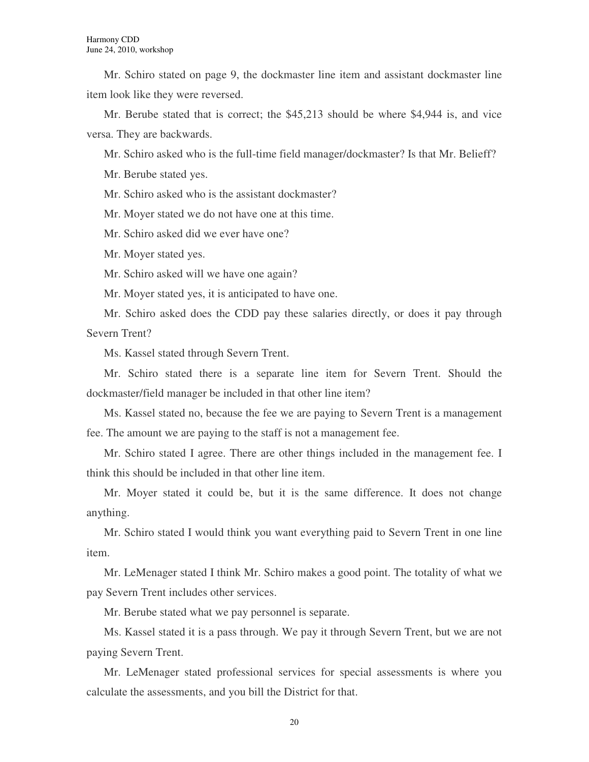Mr. Schiro stated on page 9, the dockmaster line item and assistant dockmaster line item look like they were reversed.

Mr. Berube stated that is correct; the \$45,213 should be where \$4,944 is, and vice versa. They are backwards.

Mr. Schiro asked who is the full-time field manager/dockmaster? Is that Mr. Belieff?

Mr. Berube stated yes.

Mr. Schiro asked who is the assistant dockmaster?

Mr. Moyer stated we do not have one at this time.

Mr. Schiro asked did we ever have one?

Mr. Moyer stated yes.

Mr. Schiro asked will we have one again?

Mr. Moyer stated yes, it is anticipated to have one.

Mr. Schiro asked does the CDD pay these salaries directly, or does it pay through Severn Trent?

Ms. Kassel stated through Severn Trent.

Mr. Schiro stated there is a separate line item for Severn Trent. Should the dockmaster/field manager be included in that other line item?

Ms. Kassel stated no, because the fee we are paying to Severn Trent is a management fee. The amount we are paying to the staff is not a management fee.

Mr. Schiro stated I agree. There are other things included in the management fee. I think this should be included in that other line item.

Mr. Moyer stated it could be, but it is the same difference. It does not change anything.

Mr. Schiro stated I would think you want everything paid to Severn Trent in one line item.

Mr. LeMenager stated I think Mr. Schiro makes a good point. The totality of what we pay Severn Trent includes other services.

Mr. Berube stated what we pay personnel is separate.

Ms. Kassel stated it is a pass through. We pay it through Severn Trent, but we are not paying Severn Trent.

Mr. LeMenager stated professional services for special assessments is where you calculate the assessments, and you bill the District for that.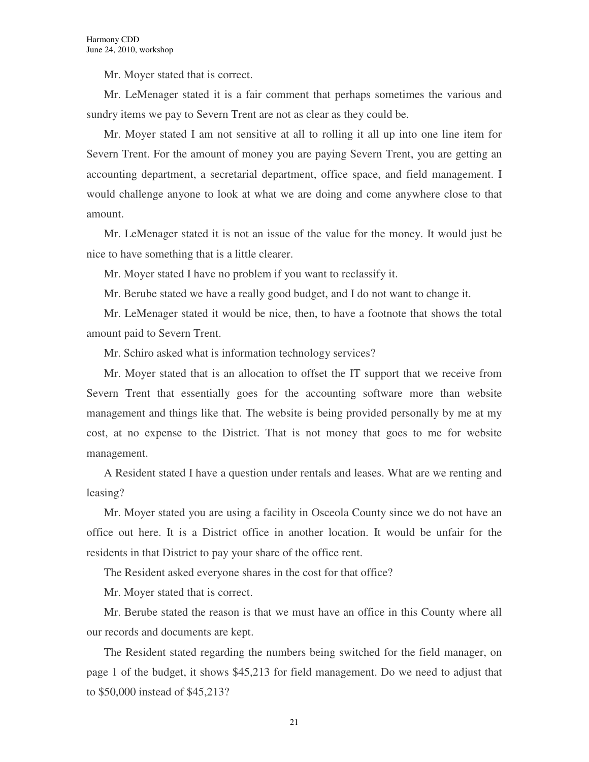Mr. Moyer stated that is correct.

Mr. LeMenager stated it is a fair comment that perhaps sometimes the various and sundry items we pay to Severn Trent are not as clear as they could be.

Mr. Moyer stated I am not sensitive at all to rolling it all up into one line item for Severn Trent. For the amount of money you are paying Severn Trent, you are getting an accounting department, a secretarial department, office space, and field management. I would challenge anyone to look at what we are doing and come anywhere close to that amount.

Mr. LeMenager stated it is not an issue of the value for the money. It would just be nice to have something that is a little clearer.

Mr. Moyer stated I have no problem if you want to reclassify it.

Mr. Berube stated we have a really good budget, and I do not want to change it.

Mr. LeMenager stated it would be nice, then, to have a footnote that shows the total amount paid to Severn Trent.

Mr. Schiro asked what is information technology services?

Mr. Moyer stated that is an allocation to offset the IT support that we receive from Severn Trent that essentially goes for the accounting software more than website management and things like that. The website is being provided personally by me at my cost, at no expense to the District. That is not money that goes to me for website management.

A Resident stated I have a question under rentals and leases. What are we renting and leasing?

Mr. Moyer stated you are using a facility in Osceola County since we do not have an office out here. It is a District office in another location. It would be unfair for the residents in that District to pay your share of the office rent.

The Resident asked everyone shares in the cost for that office?

Mr. Moyer stated that is correct.

Mr. Berube stated the reason is that we must have an office in this County where all our records and documents are kept.

The Resident stated regarding the numbers being switched for the field manager, on page 1 of the budget, it shows \$45,213 for field management. Do we need to adjust that to \$50,000 instead of \$45,213?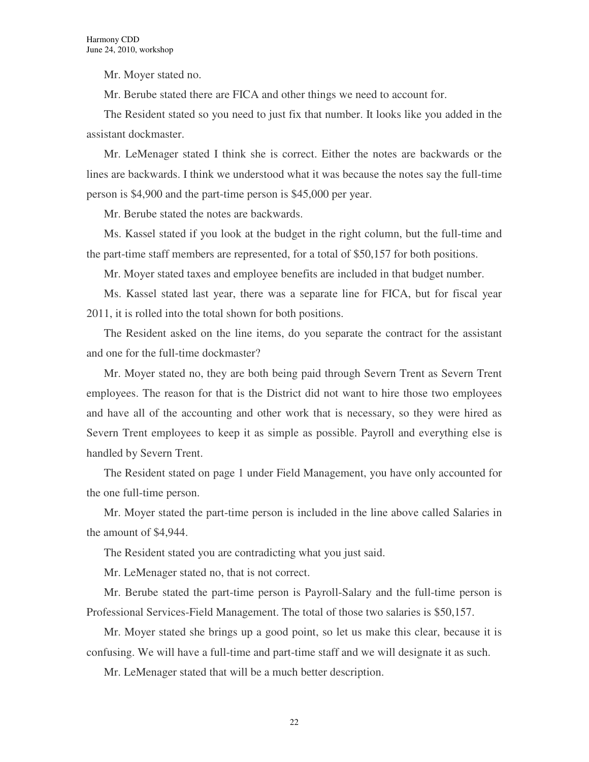Mr. Moyer stated no.

Mr. Berube stated there are FICA and other things we need to account for.

The Resident stated so you need to just fix that number. It looks like you added in the assistant dockmaster.

Mr. LeMenager stated I think she is correct. Either the notes are backwards or the lines are backwards. I think we understood what it was because the notes say the full-time person is \$4,900 and the part-time person is \$45,000 per year.

Mr. Berube stated the notes are backwards.

Ms. Kassel stated if you look at the budget in the right column, but the full-time and the part-time staff members are represented, for a total of \$50,157 for both positions.

Mr. Moyer stated taxes and employee benefits are included in that budget number.

Ms. Kassel stated last year, there was a separate line for FICA, but for fiscal year 2011, it is rolled into the total shown for both positions.

The Resident asked on the line items, do you separate the contract for the assistant and one for the full-time dockmaster?

Mr. Moyer stated no, they are both being paid through Severn Trent as Severn Trent employees. The reason for that is the District did not want to hire those two employees and have all of the accounting and other work that is necessary, so they were hired as Severn Trent employees to keep it as simple as possible. Payroll and everything else is handled by Severn Trent.

The Resident stated on page 1 under Field Management, you have only accounted for the one full-time person.

Mr. Moyer stated the part-time person is included in the line above called Salaries in the amount of \$4,944.

The Resident stated you are contradicting what you just said.

Mr. LeMenager stated no, that is not correct.

Mr. Berube stated the part-time person is Payroll-Salary and the full-time person is Professional Services-Field Management. The total of those two salaries is \$50,157.

Mr. Moyer stated she brings up a good point, so let us make this clear, because it is confusing. We will have a full-time and part-time staff and we will designate it as such.

Mr. LeMenager stated that will be a much better description.